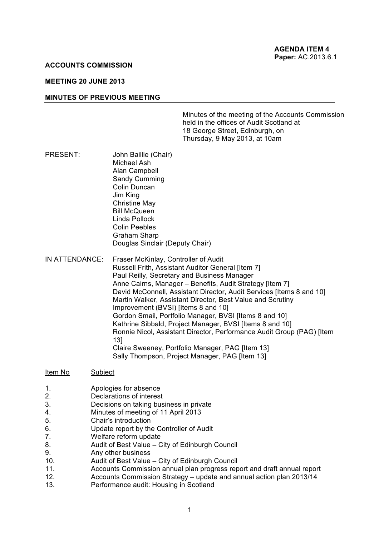#### **ACCOUNTS COMMISSION**

#### **MEETING 20 JUNE 2013**

#### **MINUTES OF PREVIOUS MEETING**

Minutes of the meeting of the Accounts Commission held in the offices of Audit Scotland at 18 George Street, Edinburgh, on Thursday, 9 May 2013, at 10am

- PRESENT: John Baillie (Chair) Michael Ash Alan Campbell Sandy Cumming Colin Duncan Jim King Christine May Bill McQueen Linda Pollock Colin Peebles Graham Sharp Douglas Sinclair (Deputy Chair)
- IN ATTENDANCE: Fraser McKinlay, Controller of Audit Russell Frith, Assistant Auditor General [Item 7] Paul Reilly, Secretary and Business Manager Anne Cairns, Manager – Benefits, Audit Strategy [Item 7] David McConnell, Assistant Director, Audit Services [Items 8 and 10] Martin Walker, Assistant Director, Best Value and Scrutiny Improvement (BVSI) [Items 8 and 10] Gordon Smail, Portfolio Manager, BVSI [Items 8 and 10] Kathrine Sibbald, Project Manager, BVSI [Items 8 and 10] Ronnie Nicol, Assistant Director, Performance Audit Group (PAG) [Item 13] Claire Sweeney, Portfolio Manager, PAG [Item 13] Sally Thompson, Project Manager, PAG [Item 13]

#### Item No Subject

- 1. Apologies for absence
- 2. Declarations of interest
- 3. Decisions on taking business in private
- 4. Minutes of meeting of 11 April 2013
- 5. Chair's introduction
- 6. Update report by the Controller of Audit
- 7. Welfare reform update
- 8. Audit of Best Value City of Edinburgh Council
- 9. Any other business
- 10. Audit of Best Value City of Edinburgh Council
- 11. Accounts Commission annual plan progress report and draft annual report
- 12. Accounts Commission Strategy update and annual action plan 2013/14
- 13. Performance audit: Housing in Scotland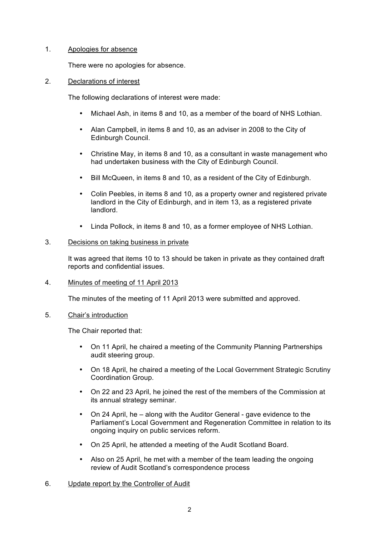# 1. Apologies for absence

There were no apologies for absence.

# 2. Declarations of interest

The following declarations of interest were made:

- Michael Ash, in items 8 and 10, as a member of the board of NHS Lothian.
- Alan Campbell, in items 8 and 10, as an adviser in 2008 to the City of Edinburgh Council.
- Christine May, in items 8 and 10, as a consultant in waste management who had undertaken business with the City of Edinburgh Council.
- Bill McQueen, in items 8 and 10, as a resident of the City of Edinburgh.
- Colin Peebles, in items 8 and 10, as a property owner and registered private landlord in the City of Edinburgh, and in item 13, as a registered private landlord.
- Linda Pollock, in items 8 and 10, as a former employee of NHS Lothian.

# 3. Decisions on taking business in private

It was agreed that items 10 to 13 should be taken in private as they contained draft reports and confidential issues.

### 4. Minutes of meeting of 11 April 2013

The minutes of the meeting of 11 April 2013 were submitted and approved.

### 5. Chair's introduction

The Chair reported that:

- On 11 April, he chaired a meeting of the Community Planning Partnerships audit steering group.
- On 18 April, he chaired a meeting of the Local Government Strategic Scrutiny Coordination Group.
- On 22 and 23 April, he joined the rest of the members of the Commission at its annual strategy seminar.
- On 24 April, he along with the Auditor General gave evidence to the Parliament's Local Government and Regeneration Committee in relation to its ongoing inquiry on public services reform.
- On 25 April, he attended a meeting of the Audit Scotland Board.
- Also on 25 April, he met with a member of the team leading the ongoing review of Audit Scotland's correspondence process
- 6. Update report by the Controller of Audit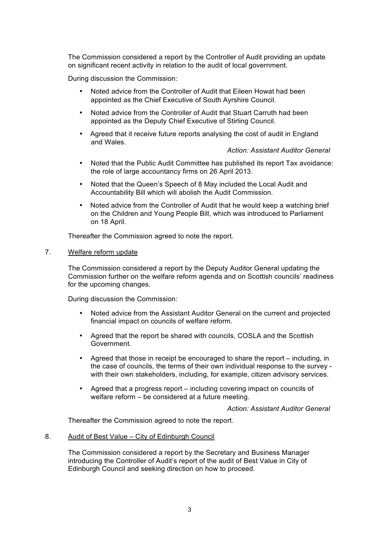The Commission considered a report by the Controller of Audit providing an update on significant recent activity in relation to the audit of local government.

During discussion the Commission:

- Noted advice from the Controller of Audit that Eileen Howat had been appointed as the Chief Executive of South Ayrshire Council.
- Noted advice from the Controller of Audit that Stuart Carruth had been appointed as the Deputy Chief Executive of Stirling Council.
- Agreed that it receive future reports analysing the cost of audit in England and Wales.

*Action: Assistant Auditor General*

- Noted that the Public Audit Committee has published its report Tax avoidance: the role of large accountancy firms on 26 April 2013.
- Noted that the Queen's Speech of 8 May included the Local Audit and Accountability Bill which will abolish the Audit Commission.
- Noted advice from the Controller of Audit that he would keep a watching brief on the Children and Young People Bill, which was introduced to Parliament on 18 April.

Thereafter the Commission agreed to note the report.

# 7. Welfare reform update

The Commission considered a report by the Deputy Auditor General updating the Commission further on the welfare reform agenda and on Scottish councils' readiness for the upcoming changes.

During discussion the Commission:

- Noted advice from the Assistant Auditor General on the current and projected financial impact on councils of welfare reform.
- Agreed that the report be shared with councils, COSLA and the Scottish Government.
- Agreed that those in receipt be encouraged to share the report including, in the case of councils, the terms of their own individual response to the survey with their own stakeholders, including, for example, citizen advisory services.
- Agreed that a progress report including covering impact on councils of welfare reform – be considered at a future meeting.

*Action: Assistant Auditor General*

Thereafter the Commission agreed to note the report.

### 8. Audit of Best Value – City of Edinburgh Council

The Commission considered a report by the Secretary and Business Manager introducing the Controller of Audit's report of the audit of Best Value in City of Edinburgh Council and seeking direction on how to proceed.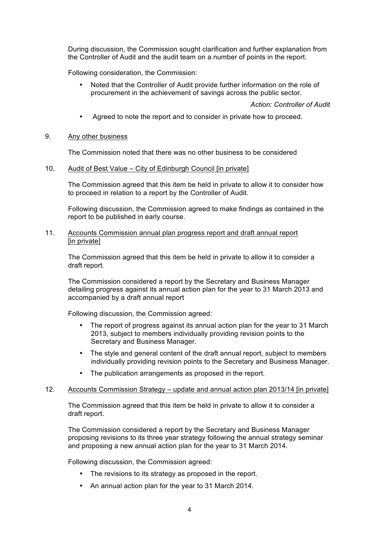During discussion, the Commission sought clarification and further explanation from the Controller of Audit and the audit team on a number of points in the report.

Following consideration, the Commission:

• Noted that the Controller of Audit provide further information on the role of procurement in the achievement of savings across the public sector.

*Action: Controller of Audit*

- Agreed to note the report and to consider in private how to proceed.
- 9. Any other business

The Commission noted that there was no other business to be considered

# 10. Audit of Best Value – City of Edinburgh Council [in private]

The Commission agreed that this item be held in private to allow it to consider how to proceed in relation to a report by the Controller of Audit.

Following discussion, the Commission agreed to make findings as contained in the report to be published in early course.

11. Accounts Commission annual plan progress report and draft annual report [in private]

The Commission agreed that this item be held in private to allow it to consider a draft report.

The Commission considered a report by the Secretary and Business Manager detailing progress against its annual action plan for the year to 31 March 2013 and accompanied by a draft annual report

Following discussion, the Commission agreed:

- The report of progress against its annual action plan for the year to 31 March 2013, subject to members individually providing revision points to the Secretary and Business Manager.
- The style and general content of the draft annual report, subject to members individually providing revision points to the Secretary and Business Manager.
- The publication arrangements as proposed in the report.

# 12. Accounts Commission Strategy – update and annual action plan 2013/14 [in private]

The Commission agreed that this item be held in private to allow it to consider a draft report.

The Commission considered a report by the Secretary and Business Manager proposing revisions to its three year strategy following the annual strategy seminar and proposing a new annual action plan for the year to 31 March 2014.

Following discussion, the Commission agreed:

- The revisions to its strategy as proposed in the report.
- An annual action plan for the year to 31 March 2014.